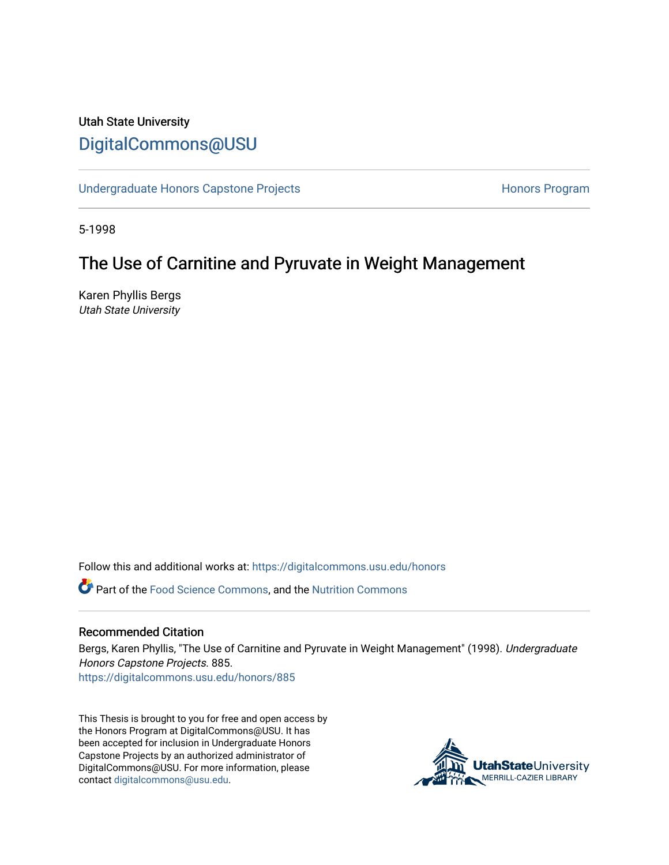# Utah State University [DigitalCommons@USU](https://digitalcommons.usu.edu/)

[Undergraduate Honors Capstone Projects](https://digitalcommons.usu.edu/honors) **Honors Program** Honors Program

5-1998

## The Use of Carnitine and Pyruvate in Weight Management

Karen Phyllis Bergs Utah State University

Follow this and additional works at: [https://digitalcommons.usu.edu/honors](https://digitalcommons.usu.edu/honors?utm_source=digitalcommons.usu.edu%2Fhonors%2F885&utm_medium=PDF&utm_campaign=PDFCoverPages)

Part of the [Food Science Commons,](http://network.bepress.com/hgg/discipline/84?utm_source=digitalcommons.usu.edu%2Fhonors%2F885&utm_medium=PDF&utm_campaign=PDFCoverPages) and the [Nutrition Commons](http://network.bepress.com/hgg/discipline/95?utm_source=digitalcommons.usu.edu%2Fhonors%2F885&utm_medium=PDF&utm_campaign=PDFCoverPages) 

### Recommended Citation

Bergs, Karen Phyllis, "The Use of Carnitine and Pyruvate in Weight Management" (1998). Undergraduate Honors Capstone Projects. 885. [https://digitalcommons.usu.edu/honors/885](https://digitalcommons.usu.edu/honors/885?utm_source=digitalcommons.usu.edu%2Fhonors%2F885&utm_medium=PDF&utm_campaign=PDFCoverPages)

This Thesis is brought to you for free and open access by the Honors Program at DigitalCommons@USU. It has been accepted for inclusion in Undergraduate Honors Capstone Projects by an authorized administrator of DigitalCommons@USU. For more information, please contact [digitalcommons@usu.edu](mailto:digitalcommons@usu.edu).

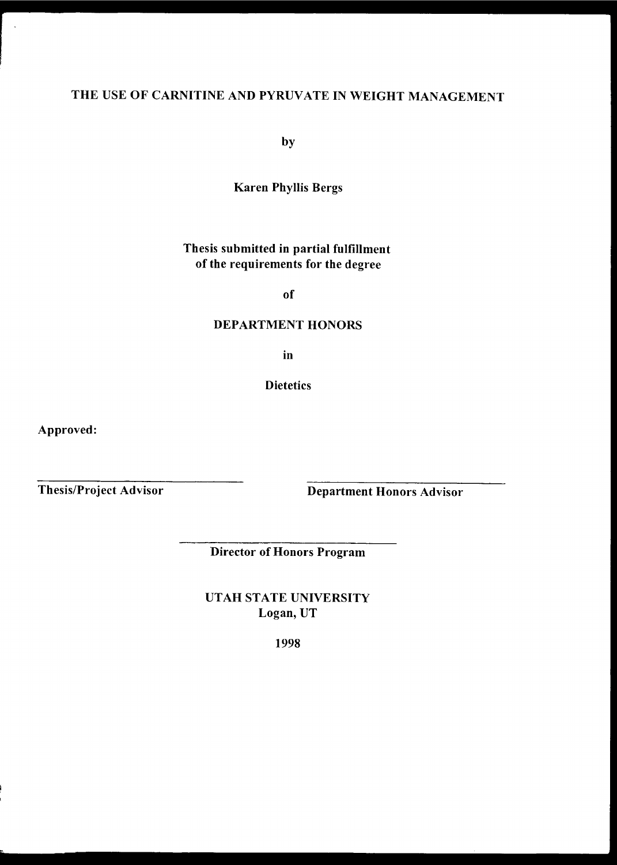# THE USE OF CARNITINE AND PYRUVATE IN WEIGHT MANAGEMENT

by

Karen Phyllis Bergs

## Thesis submitted in partial fulfillment of the requirements for the degree

of

### DEPARTMENT HONORS

in

**Dietetics** 

Approved:

Thesis/Project Advisor

Department Honors Advisor

Director of Honors Program

UTAH STATE UNIVERSITY Logan, UT

1998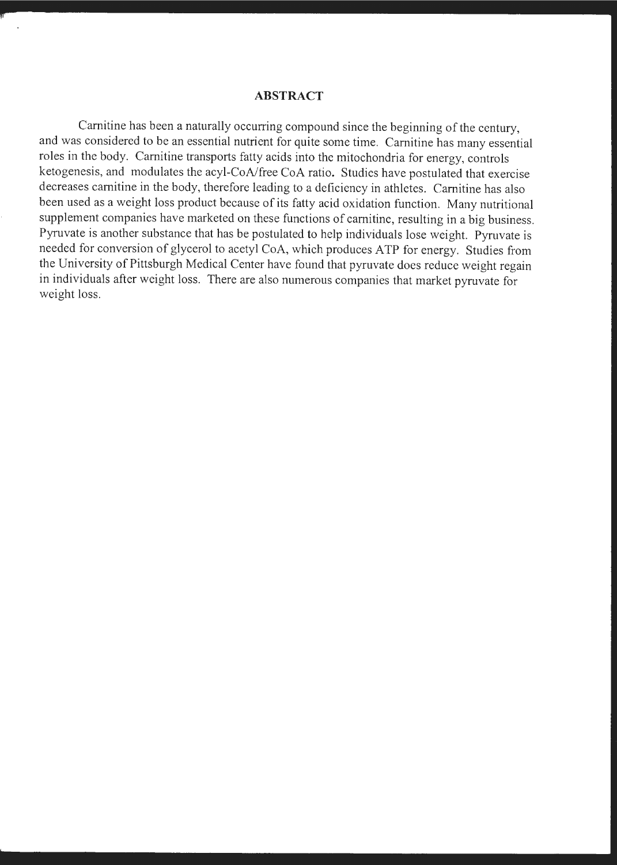#### **ABSTRACT**

Carnitine has been a naturally occurring compound since the beginning of the century, and was considered to be an essential nutrient for quite some time. Carnitine has many essential roles in the body. Carnitine transports fatty acids into the mitochondria for energy, controls ketogenesis, and modulates the acyl-CoA/free CoA ratio. Studies have postulated that exercise decreases carnitine in the body, therefore leading to a deficiency in athletes. Camitine has also been used as a weight loss product because of its fatty acid oxidation function. Many nutritional supplement companies have marketed on these functions of carnitine, resulting in a big business. Pyruvate is another substance that has be postulated to help individuals lose weight. Pyruvate is needed for conversion of glycerol to acetyl CoA, which produces ATP for energy. Studies from the University of Pittsburgh Medical Center have found that pyruvate does reduce weight regain in individuals after weight loss. There are also numerous companies that market pyruvate for weight loss.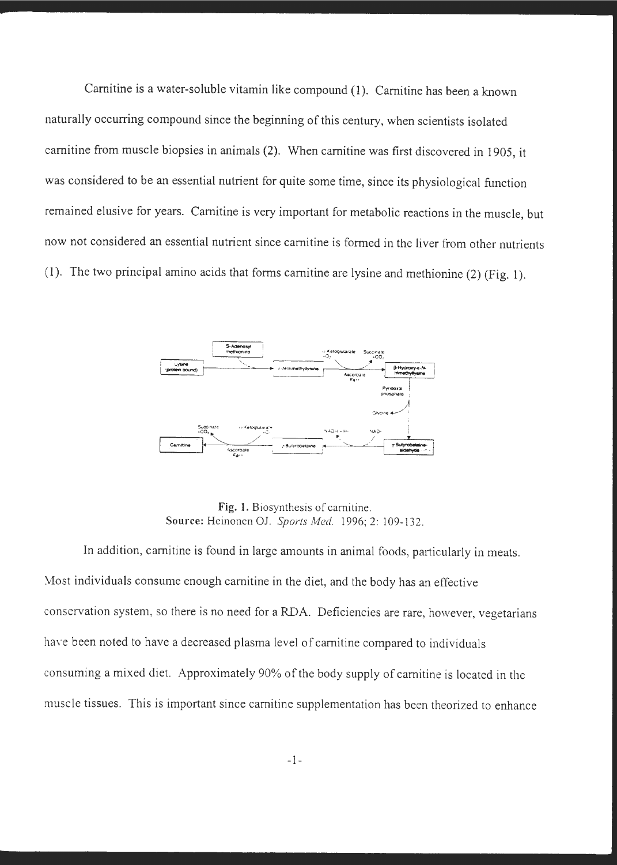Carnitine is a water-soluble vitamin like compound (1). Carnitine has been a known naturally occurring compound since the beginning of this century, when scientists isolated carnitine from muscle biopsies in animals (2). When carnitine was first discovered in 1905, it was considered to be an essential nutrient for quite some time, since its physiological function remained elusive for years. Carnitine is very important for metabolic reactions in the muscle, but now not considered an essential nutrient since carnitine is formed in the liver from other nutrients (1). The two principal amino acids that forms carnitine are lysine and methionine (2) (Fig. 1).



**Fig. 1.** Biosynthesis of camitine. **Source:** Heinonen OJ. *Sports Med.* 1996; 2: 109-132.

In addition, carnitine is found in large amounts in animal foods, particularly in meats. .\.1ost individuals consume enough carnitine in the diet, and the body has an effective conservation system, so there is no need for a RDA. Deficiencies are rare, however, vegetarians have been noted to have a decreased plasma level of carnitine compared to individuals consuming a mixed diet. Approximately 90% of the body supply of camitine is located in the muscle tissues. This is important since camitine supplementation has been theorized to enhance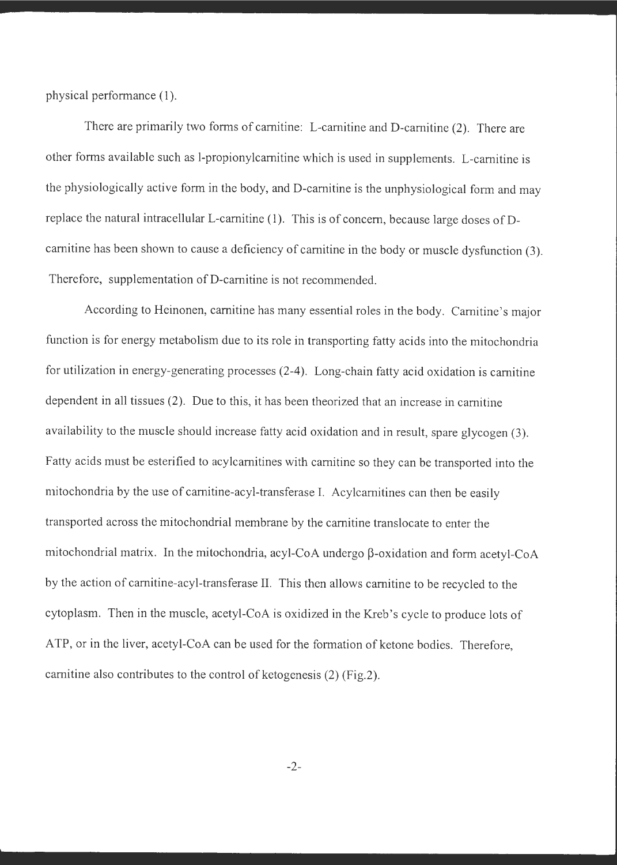physical performance (1).

There are primarily two forms of carnitine: L-carnitine and D-carnitine (2). There are other forms available such as 1-propionylcarnitine which is used in supplements. L-carnitine is the physiologically active form in the body, and D-carnitine is the unphysiological form and may replace the natural intracellular L-carnitine (1). This is of concern, because large doses of Dcarnitine has been shown to cause a deficiency of carnitine in the body or muscle dysfunction (3). Therefore, supplementation of D-carnitine is not recommended.

According to Heinonen, carnitine has many essential roles in the body. Carnitine's major function is for energy metabolism due to its role in transporting fatty acids into the mitochondria for utilization in energy-generating processes (2-4). Long-chain fatty acid oxidation is carnitine dependent in all tissues (2). Due to this, it has been theorized that an increase in carnitine availability to the muscle should increase fatty acid oxidation and in result, spare glycogen (3). Fatty acids must be esterified to acylcarnitines with camitine so they can be transported into the mitochondria by the use of carnitine-acyl-transferase I. Acylcarnitines can then be easily transported across the mitochondrial membrane by the carnitine translocate to enter the mitochondrial matrix. In the mitochondria, acyl-CoA undergo  $\beta$ -oxidation and form acetyl-CoA by the action of carnitine-acyl-transferase II. This then allows carnitine to be recycled to the cytoplasm. Then in the muscle, acetyl-CoA is oxidized in the Kreb's cycle to produce lots of ATP, or in the liver, acetyl-CoA can be used for the formation of ketone bodies. Therefore, camitine also contributes to the control of ketogenesis (2) (Fig.2).

-2-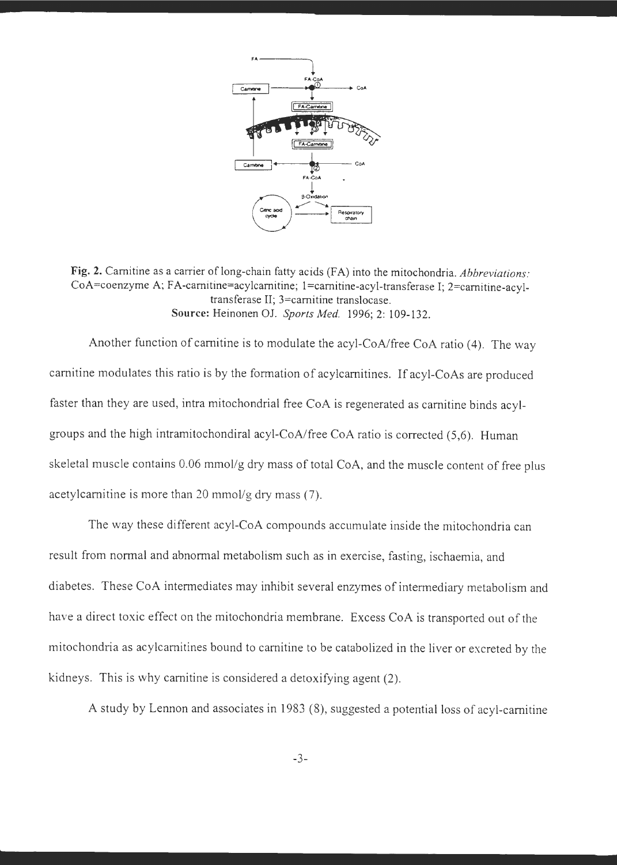

Fig. 2. Carnitine as a carrier of long-chain fatty acids (FA) into the mitochondria. *Abbreviations:* CoA=coenzyme A; FA-carnitine=acylcarnitine; 1=carnitine-acyl-transferase I; 2=carnitine-acyltransferase II; 3=camitine translocase. **Source:** Heinonen OJ. *Sports Med.* 1996; 2: 109-132.

Another function of carnitine is to modulate the acyl-CoA/free CoA ratio  $(4)$ . The way camitine modulates this ratio is by the formation of acylcamitines. If acyl-CoAs are produced faster than they are used, intra mitochondrial free CoA is regenerated as camitine binds acylgroups and the high intramitochondiral acyl-CoA/free CoA ratio is corrected (5,6). Human skeletal muscle contains 0.06 mmol/g dry mass of total CoA, and the muscle content of free plus acetylcamitine is more than 20 mmol/g dry mass (7).

The way these different acyl-CoA compounds accumulate inside the mitochondria can result from normal and abnormal metabolism such as in exercise, fasting, ischaemia, and diabetes. These CoA intermediates may inhibit several enzymes of intermediary metabolism and have a direct toxic effect on the mitochondria membrane. Excess CoA is transported out of the mitochondria as acylcamitines bound to camitine to be catabolized in the liver or excreted by the kidneys. This is why camitine is considered a detoxifying agent (2).

A study by Lennon and associates in 1983 (8), suggested a potential loss of acyl-camitine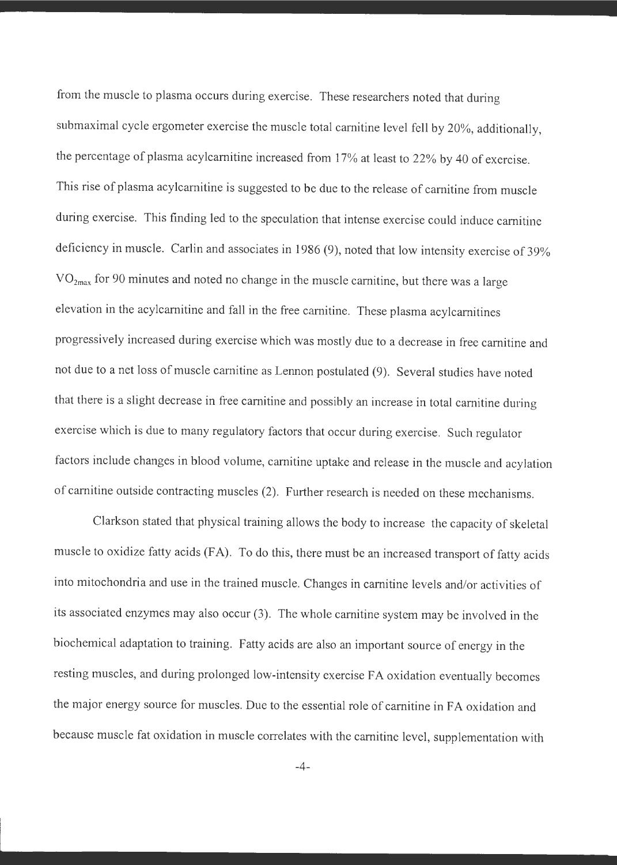from the muscle to plasma occurs during exercise. These researchers noted that during submaximal cycle ergometer exercise the muscle total camitine level fell by 20%, additionally, the percentage of plasma acylcamitine increased from 17% at least to 22% by 40 of exercise. This rise of plasma acylcamitine is suggested to be due to the release of camitine from muscle during exercise. This finding led to the speculation that intense exercise could induce camitine deficiency in muscle. Carlin and associates in 1986 (9), noted that low intensity exercise of 39%  $VO<sub>2max</sub>$  for 90 minutes and noted no change in the muscle carnitine, but there was a large elevation in the acylcamitine and fall in the free camitine. These plasma acylcamitines progressively increased during exercise which was mostly due to a decrease in free camitine and not due to a net loss of muscle camitine as Lennon postulated (9). Several studies have noted that there is a slight decrease in free camitine and possibly an increase in total camitine during exercise which is due to many regulatory factors that occur during exercise. Such regulator factors include changes in blood volume, camitine uptake and release in the muscle and acylation of camitine outside contracting muscles (2). Further research is needed on these mechanisms.

Clarkson stated that physical training allows the body to increase the capacity of skeletal muscle to oxidize fatty acids (FA). To do this, there must be an increased transport of fatty acids into mitochondria and use in the trained muscle. Changes in camitine levels and/or activities of its associated enzymes may also occur (3). The whole camitine system may be involved in the biochemical adaptation to training. Fatty acids are also an important source of energy in the resting muscles, and during prolonged low-intensity exercise FA oxidation eventually becomes the major energy source for muscles. Due to the essential role of camitine in FA oxidation and because muscle fat oxidation in muscle correlates with the camitine level, supplementation with

-4-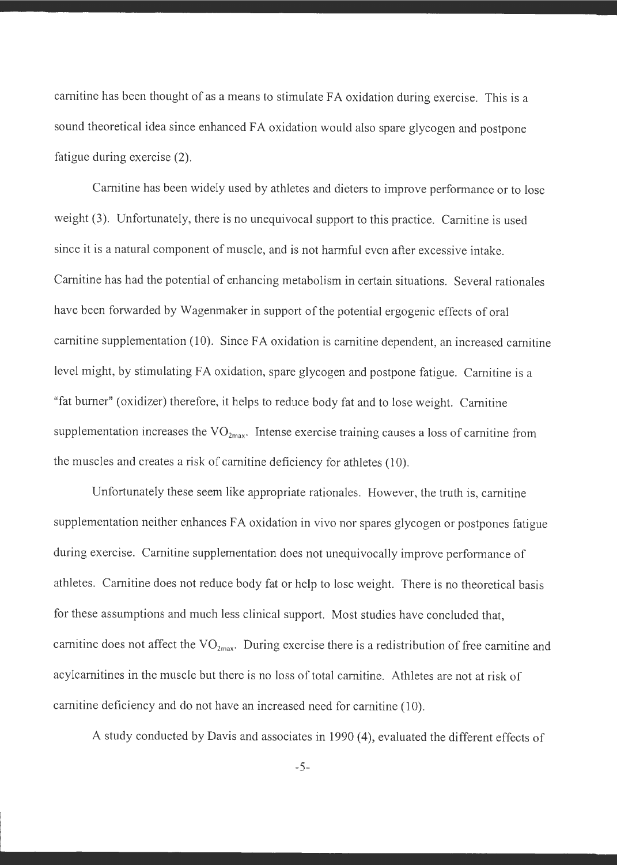carnitine has been thought of as a means to stimulate FA oxidation during exercise. This is a sound theoretical idea since enhanced FA oxidation would also spare glycogen and postpone fatigue during exercise (2).

Camitine has been widely used by athletes and dieters to improve performance or to lose weight (3). Unfortunately, there is no unequivocal support to this practice. Camitine is used since it is a natural component of muscle, and is not harmful even after excessive intake. Camitine has had the potential of enhancing metabolism in certain situations. Several rationales have been forwarded by Wagenmaker in support of the potential ergogenic effects of oral camitine supplementation (10). Since FA oxidation is camitine dependent, an increased camitine level might, by stimulating FA oxidation, spare glycogen and postpone fatigue. Carnitine is a "fat burner" ( oxidizer) therefore, it helps to reduce body fat and to lose weight. Carnitine supplementation increases the  $VO_{2max}$ . Intense exercise training causes a loss of carnitine from the muscles and creates a risk of carnitine deficiency for athletes (10).

Unfortunately these seem like appropriate rationales. However, the truth is, carnitine supplementation neither enhances FA oxidation in vivo nor spares glycogen or postpones fatigue during exercise. Carnitine supplementation does not unequivocally improve performance of athletes. Camitine does not reduce body fat or help to lose weight. There is no theoretical basis for these assumptions and much less clinical support. Most studies have concluded that, carnitine does not affect the VO<sub>2max</sub>. During exercise there is a redistribution of free carnitine and acylcamitines in the muscle but there is no loss of total camitine. Athletes are not at risk of camitine deficiency and do not have an increased need for camitine (10).

A study conducted by Davis and associates in 1990 (4), evaluated the different effects of

-5-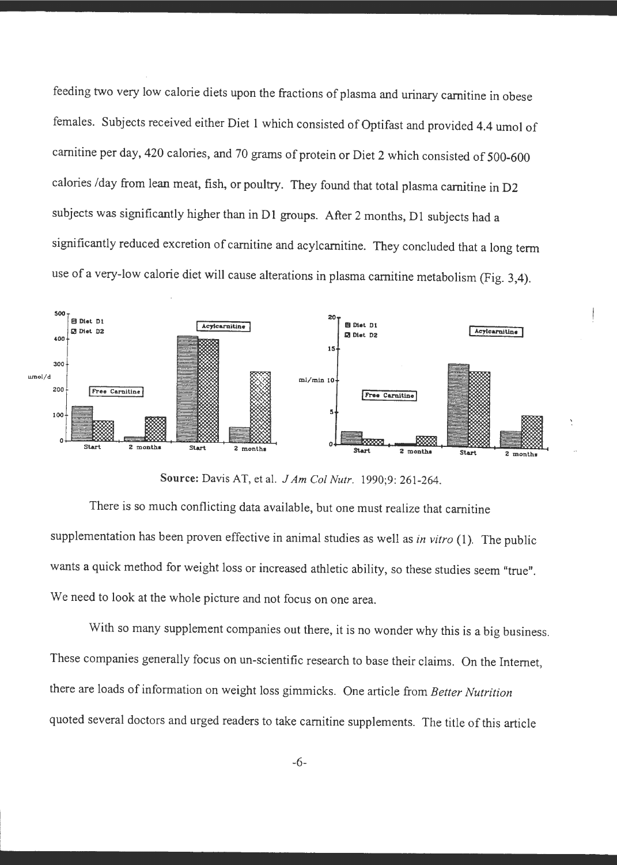feeding two very low calorie diets upon the fractions of plasma and urinary camitine in obese females. Subjects received either Diet 1 which consisted of Optifast and provided 4.4 umol of carnitine per day, 420 calories, and 70 grams of protein or Diet 2 which consisted of 500-600 calories /day from lean meat, fish, or poultry. They found that total plasma camitine in D2 subjects was significantly higher than in Dl groups. After 2 months, Dl subjects had a significantly reduced excretion of camitine and acylcamitine. They concluded that a long term use of a very-low calorie diet will cause alterations in plasma camitine metabolism (Fig. 3,4).



**Source:** Davis AT, et al. *J Am Col Nutr.* 1990;9: 261-264.

There is so much conflicting data available, but one must realize that carnitine supplementation has been proven effective in animal studies as well as *in vitro* (1). The public wants a quick method for weight loss or increased athletic ability, so these studies seem "true". We need to look at the whole picture and not focus on one area.

With so many supplement companies out there, it is no wonder why this is a big business. These companies generally focus on un-scientific research to base their claims. On the Internet, there are loads of information on weight loss gimmicks. One article from *Better Nutrition*  quoted several doctors and urged readers to take camitine supplements. The title of this article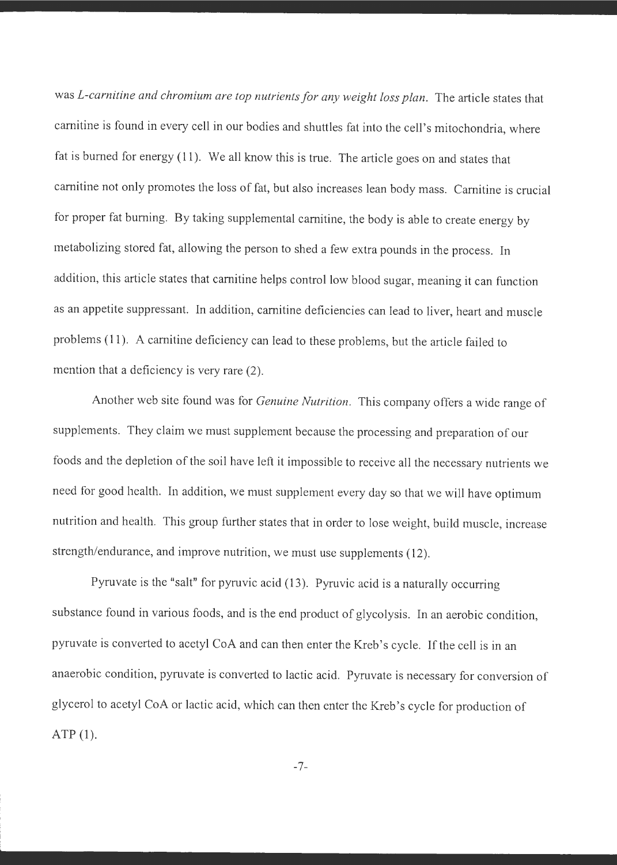was *L-carnitine and chromium are top nutrients for any weight loss plan*. The article states that camitine is found in every cell in our bodies and shuttles fat into the cell's mitochondria, where fat is burned for energy (11). We all know this is true. The article goes on and states that carnitine not only promotes the loss of fat, but also increases lean body mass. Carnitine is crucial for proper fat burning. By taking supplemental carnitine, the body is able to create energy by metabolizing stored fat, allowing the person to shed a few extra pounds in the process. In addition, this article states that camitine helps control low blood sugar, meaning it can function as an appetite suppressant. In addition, carnitine deficiencies can lead to liver, heart and muscle problems (11). A carnitine deficiency can lead to these problems, but the article failed to mention that a deficiency is very rare  $(2)$ .

Another web site found was for *Genuine Nutrition.* This company offers a wide range of supplements. They claim we must supplement because the processing and preparation of our foods and the depletion of the soil have left it impossible to receive all the necessary nutrients we need for good health. In addition, we must supplement every day so that we will have optimum nutrition and health. This group further states that in order to lose weight, build muscle, increase strength/endurance, and improve nutrition, we must use supplements (12).

Pyruvate is the "salt" for pyruvic acid (13). Pyruvic acid is a naturally occurring substance found in various foods, and is the end product of glycolysis. In an aerobic condition, pyruvate is converted to acetyl CoA and can then enter the Kreb's cycle. If the cell is in an anaerobic condition, pyruvate is converted to lactic acid. Pyruvate is necessary for conversion of <sup>g</sup>lycerol to acetyl CoA or lactic acid, which can then enter the Kreb's cycle for production of ATP (1).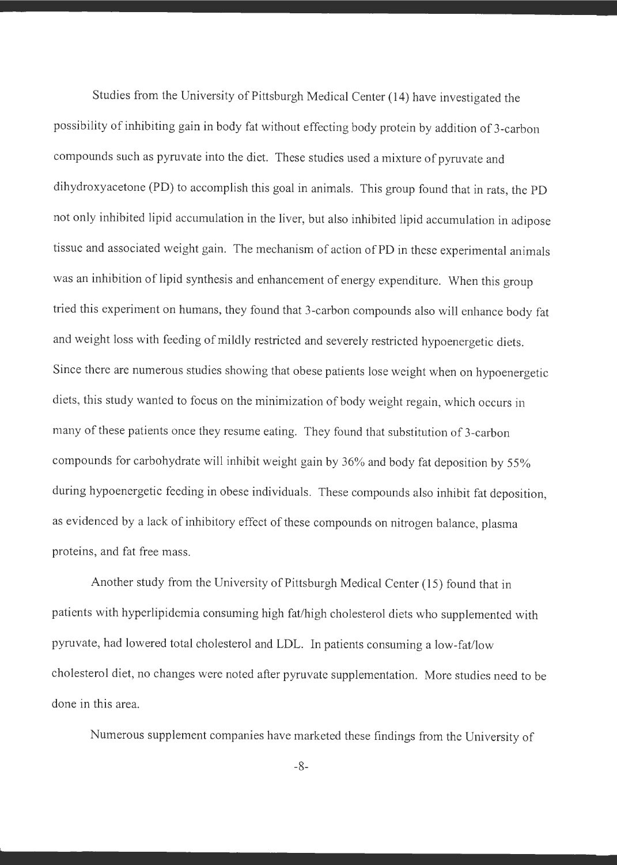Studies from the University of Pittsburgh Medical Center (14) have investigated the possibility of inhibiting gain in body fat without effecting body protein by addition of 3-carbon compounds such as pyruvate into the diet. These studies used a mixture of pyruvate and dihydroxyacetone (PD) to accomplish this goal in animals. This group found that in rats, the PD not only inhibited lipid accumulation in the liver, but also inhibited lipid accumulation in adipose tissue and associated weight gain. The mechanism of action of PD in these experimental animals was an inhibition of lipid synthesis and enhancement of energy expenditure. When this group tried this experiment on humans, they found that 3-carbon compounds also will enhance body fat and weight loss with feeding of mildly restricted and severely restricted hypoenergetic diets. Since there are numerous studies showing that obese patients lose weight when on hypoenergetic diets, this study wanted to focus on the minimization of body weight regain, which occurs in many of these patients once they resume eating. They found that substitution of 3-carbon compounds for carbohydrate will inhibit weight gain by 36% and body fat deposition by 55% during hypoenergetic feeding in obese individuals. These compounds also inhibit fat deposition, as evidenced by a lack of inhibitory effect of these compounds on nitrogen balance, plasma proteins, and fat free mass.

Another study from the University of Pittsburgh Medical Center ( 15) found that in patients with hyperlipidemia consuming high fat/high cholesterol diets who supplemented with pyruvate, had lowered total cholesterol and LDL. In patients consuming a low-fat/low cholesterol diet, no changes were noted after pyruvate supplementation. More studies need to be done in this area.

Numerous supplement companies have marketed these findings from the University of

-8-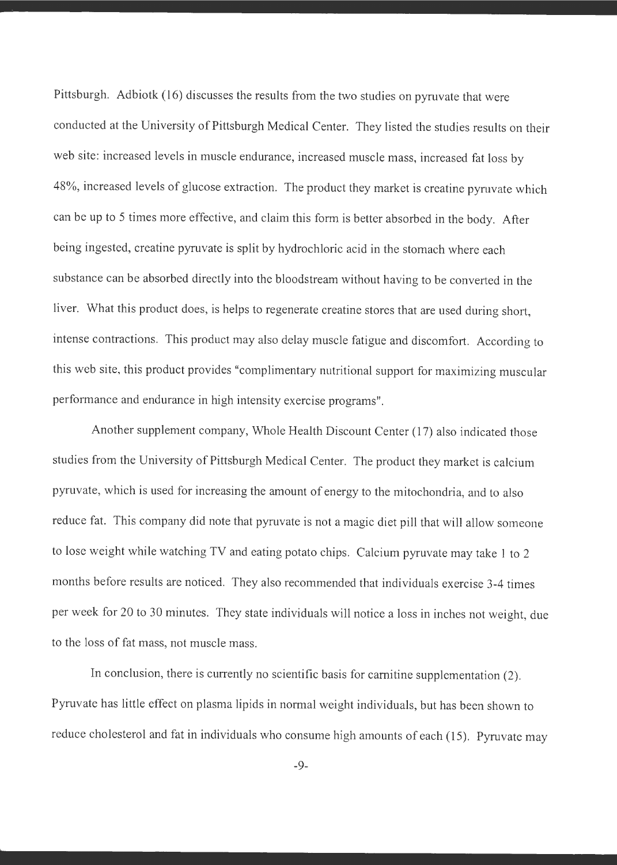Pittsburgh. Adbiotk (16) discusses the results from the two studies on pyruvate that were conducted at the University of Pittsburgh Medical Center. They listed the studies results on their web site: increased levels in muscle endurance, increased muscle mass, increased fat loss by 48%, increased levels of glucose extraction. The product they market is creatine pyruvate which can be up to 5 times more effective, and claim this form is better absorbed in the body. After being ingested, creatine pyruvate is split by hydrochloric acid in the stomach where each substance can be absorbed directly into the bloodstream without having to be converted in the liver. What this product does, is helps to regenerate creatine stores that are used during short, intense contractions. This product may also delay muscle fatigue and discomfort. According to this web site, this product provides "complimentary nutritional support for maximizing muscular performance and endurance in high intensity exercise programs".

Another supplement company, Whole Health Discount Center (17) also indicated those studies from the University of Pittsburgh Medical Center. The product they market is calcium pyruvate, which is used for increasing the amount of energy to the mitochondria, and to also reduce fat. This company did note that pyruvate is not a magic diet pill that will allow someone to lose weight while watching TV and eating potato chips. Calcium pyruvate may take 1 to 2 months before results are noticed. They also recommended that individuals exercise 3-4 times per week for 20 to 30 minutes. They state individuals will notice a loss in inches not weight, due to the loss of fat mass, not muscle mass.

In conclusion, there is currently no scientific basis for camitine supplementation (2). Pyruvate has little effect on plasma lipids in normal weight individuals, but has been shown to reduce cholesterol and fat in individuals who consume high amounts of each (15). Pyruvate may

-9-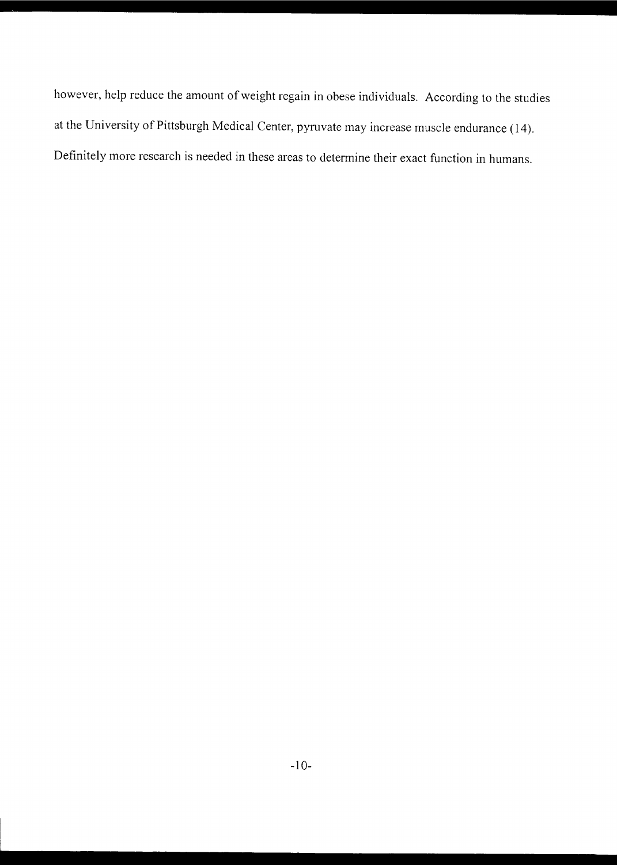however, help reduce the amount of weight regain in obese individuals. According to the studies at the University of Pittsburgh Medical Center, pyruvate may increase muscle endurance (14). Definitely more research is needed in these areas to determine their exact function in humans.